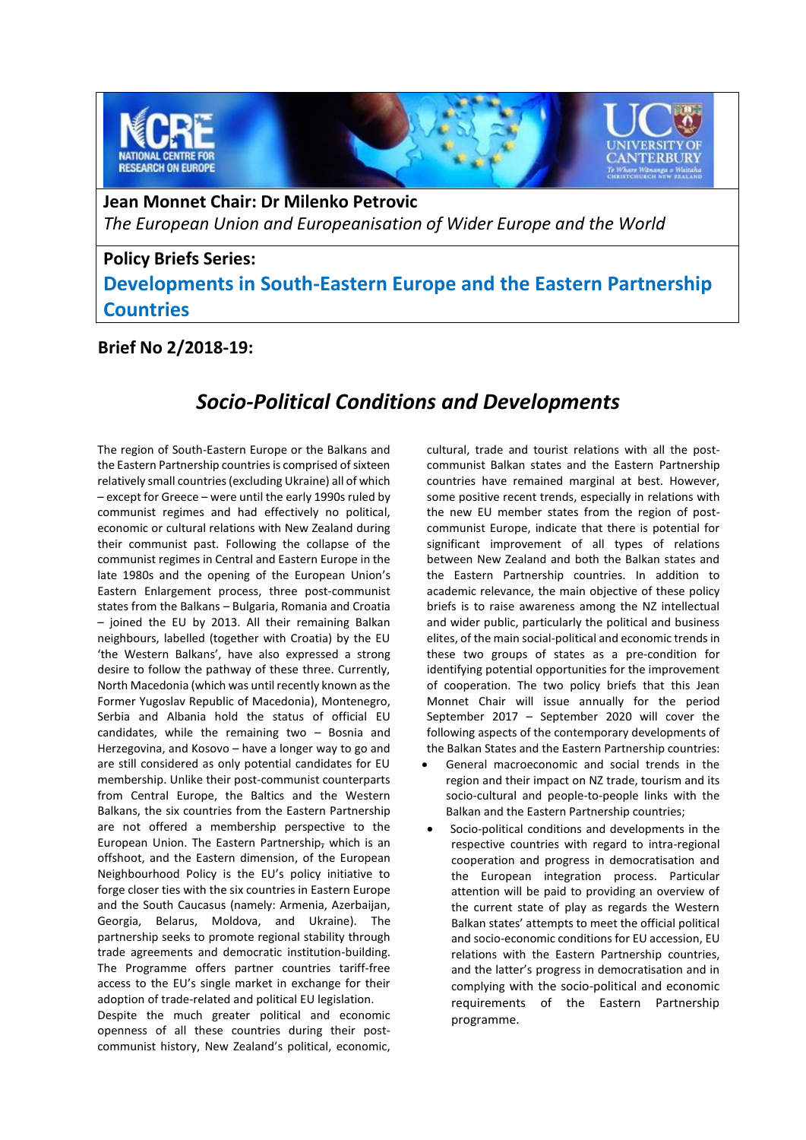

**Jean Monnet Chair: Dr Milenko Petrovic** *The European Union and Europeanisation of Wider Europe and the World*

## **Policy Briefs Series: Developments in South-Eastern Europe and the Eastern Partnership Countries**

### **Brief No 2/2018-19:**

# *Socio-Political Conditions and Developments*

The region of South-Eastern Europe or the Balkans and the Eastern Partnership countries is comprised of sixteen relatively small countries (excluding Ukraine) all of which – except for Greece – were until the early 1990s ruled by communist regimes and had effectively no political, economic or cultural relations with New Zealand during their communist past. Following the collapse of the communist regimes in Central and Eastern Europe in the late 1980s and the opening of the European Union's Eastern Enlargement process, three post-communist states from the Balkans – Bulgaria, Romania and Croatia – joined the EU by 2013. All their remaining Balkan neighbours, labelled (together with Croatia) by the EU 'the Western Balkans', have also expressed a strong desire to follow the pathway of these three. Currently, North Macedonia (which was until recently known as the Former Yugoslav Republic of Macedonia), Montenegro, Serbia and Albania hold the status of official EU candidates, while the remaining two – Bosnia and Herzegovina, and Kosovo – have a longer way to go and are still considered as only potential candidates for EU membership. Unlike their post-communist counterparts from Central Europe, the Baltics and the Western Balkans, the six countries from the Eastern Partnership are not offered a membership perspective to the European Union. The Eastern Partnership, which is an offshoot, and the Eastern dimension, of the European Neighbourhood Policy is the EU's policy initiative to forge closer ties with the six countries in Eastern Europe and the South Caucasus (namely: Armenia, Azerbaijan, Georgia, Belarus, Moldova, and Ukraine). The partnership seeks to promote regional stability through trade agreements and democratic institution-building. The Programme offers partner countries tariff-free access to the EU's single market in exchange for their adoption of trade-related and political EU legislation.

Despite the much greater political and economic openness of all these countries during their postcommunist history, New Zealand's political, economic, cultural, trade and tourist relations with all the postcommunist Balkan states and the Eastern Partnership countries have remained marginal at best. However, some positive recent trends, especially in relations with the new EU member states from the region of postcommunist Europe, indicate that there is potential for significant improvement of all types of relations between New Zealand and both the Balkan states and the Eastern Partnership countries. In addition to academic relevance, the main objective of these policy briefs is to raise awareness among the NZ intellectual and wider public, particularly the political and business elites, of the main social-political and economic trends in these two groups of states as a pre-condition for identifying potential opportunities for the improvement of cooperation. The two policy briefs that this Jean Monnet Chair will issue annually for the period September 2017 – September 2020 will cover the following aspects of the contemporary developments of the Balkan States and the Eastern Partnership countries:

- General macroeconomic and social trends in the region and their impact on NZ trade, tourism and its socio-cultural and people-to-people links with the Balkan and the Eastern Partnership countries;
- Socio-political conditions and developments in the respective countries with regard to intra-regional cooperation and progress in democratisation and the European integration process. Particular attention will be paid to providing an overview of the current state of play as regards the Western Balkan states' attempts to meet the official political and socio-economic conditions for EU accession, EU relations with the Eastern Partnership countries, and the latter's progress in democratisation and in complying with the socio-political and economic requirements of the Eastern Partnership programme.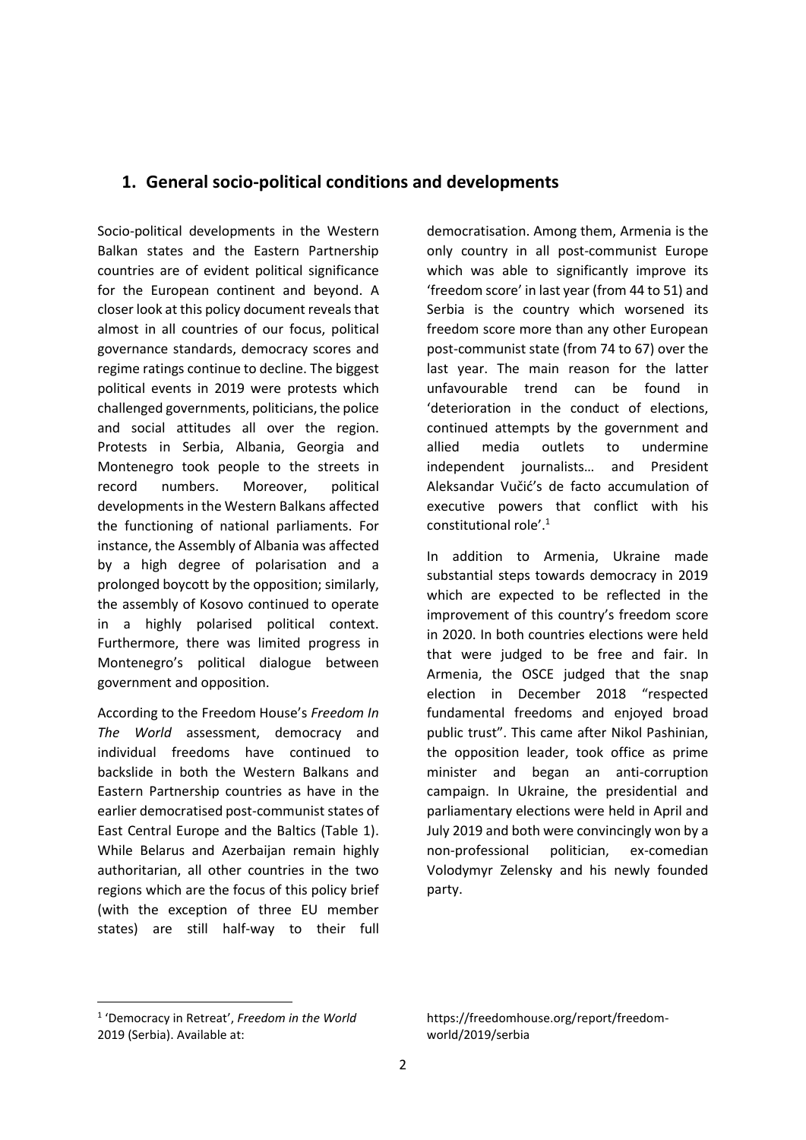### **1. General socio-political conditions and developments**

Socio-political developments in the Western Balkan states and the Eastern Partnership countries are of evident political significance for the European continent and beyond. A closer look at this policy document reveals that almost in all countries of our focus, political governance standards, democracy scores and regime ratings continue to decline. The biggest political events in 2019 were protests which challenged governments, politicians, the police and social attitudes all over the region. Protests in Serbia, Albania, Georgia and Montenegro took people to the streets in record numbers. Moreover, political developments in the Western Balkans affected the functioning of national parliaments. For instance, the Assembly of Albania was affected by a high degree of polarisation and a prolonged boycott by the opposition; similarly, the assembly of Kosovo continued to operate in a highly polarised political context. Furthermore, there was limited progress in Montenegro's political dialogue between government and opposition.

According to the Freedom House's *Freedom In The World* assessment, democracy and individual freedoms have continued to backslide in both the Western Balkans and Eastern Partnership countries as have in the earlier democratised post-communist states of East Central Europe and the Baltics (Table 1). While Belarus and Azerbaijan remain highly authoritarian, all other countries in the two regions which are the focus of this policy brief (with the exception of three EU member states) are still half-way to their full democratisation. Among them, Armenia is the only country in all post-communist Europe which was able to significantly improve its 'freedom score' in last year (from 44 to 51) and Serbia is the country which worsened its freedom score more than any other European post-communist state (from 74 to 67) over the last year. The main reason for the latter unfavourable trend can be found in 'deterioration in the conduct of elections, continued attempts by the government and allied media outlets to undermine independent journalists… and President Aleksandar Vučić's de facto accumulation of executive powers that conflict with his constitutional role'.<sup>1</sup>

In addition to Armenia, Ukraine made substantial steps towards democracy in 2019 which are expected to be reflected in the improvement of this country's freedom score in 2020. In both countries elections were held that were judged to be free and fair. In Armenia, the OSCE judged that the snap election in December 2018 "respected fundamental freedoms and enjoyed broad public trust". This came after Nikol Pashinian, the opposition leader, took office as prime minister and began an anti-corruption campaign. In Ukraine, the presidential and parliamentary elections were held in April and July 2019 and both were convincingly won by a non-professional politician, ex-comedian Volodymyr Zelensky and his newly founded party.

1

<sup>1</sup> 'Democracy in Retreat', *Freedom in the World* 2019 (Serbia). Available at:

https://freedomhouse.org/report/freedomworld/2019/serbia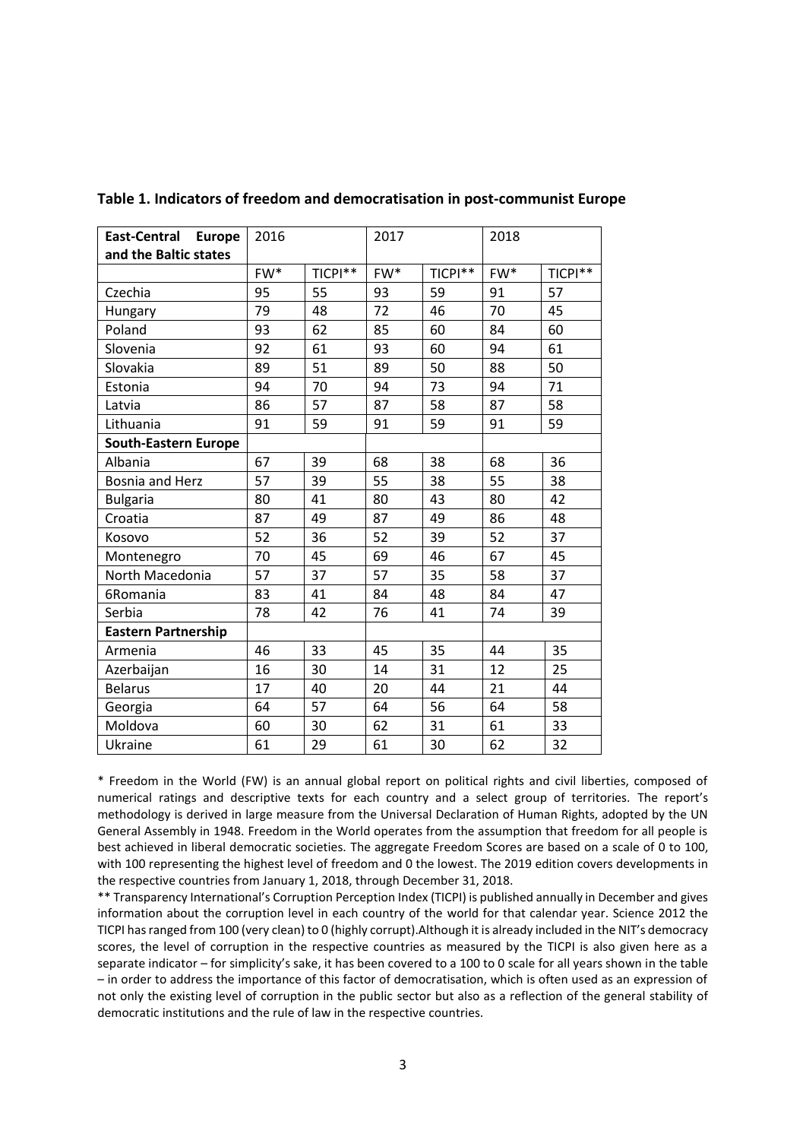| <b>East-Central Europe</b>  | 2016 |         | 2017  |         | 2018  |         |
|-----------------------------|------|---------|-------|---------|-------|---------|
| and the Baltic states       |      |         |       |         |       |         |
|                             | FW*  | TICPI** | $FW*$ | TICPI** | $FW*$ | TICPI** |
| Czechia                     | 95   | 55      | 93    | 59      | 91    | 57      |
| Hungary                     | 79   | 48      | 72    | 46      | 70    | 45      |
| Poland                      | 93   | 62      | 85    | 60      | 84    | 60      |
| Slovenia                    | 92   | 61      | 93    | 60      | 94    | 61      |
| Slovakia                    | 89   | 51      | 89    | 50      | 88    | 50      |
| Estonia                     | 94   | 70      | 94    | 73      | 94    | 71      |
| Latvia                      | 86   | 57      | 87    | 58      | 87    | 58      |
| Lithuania                   | 91   | 59      | 91    | 59      | 91    | 59      |
| <b>South-Eastern Europe</b> |      |         |       |         |       |         |
| Albania                     | 67   | 39      | 68    | 38      | 68    | 36      |
| <b>Bosnia and Herz</b>      | 57   | 39      | 55    | 38      | 55    | 38      |
| <b>Bulgaria</b>             | 80   | 41      | 80    | 43      | 80    | 42      |
| Croatia                     | 87   | 49      | 87    | 49      | 86    | 48      |
| Kosovo                      | 52   | 36      | 52    | 39      | 52    | 37      |
| Montenegro                  | 70   | 45      | 69    | 46      | 67    | 45      |
| North Macedonia             | 57   | 37      | 57    | 35      | 58    | 37      |
| 6Romania                    | 83   | 41      | 84    | 48      | 84    | 47      |
| Serbia                      | 78   | 42      | 76    | 41      | 74    | 39      |
| <b>Eastern Partnership</b>  |      |         |       |         |       |         |
| Armenia                     | 46   | 33      | 45    | 35      | 44    | 35      |
| Azerbaijan                  | 16   | 30      | 14    | 31      | 12    | 25      |
| <b>Belarus</b>              | 17   | 40      | 20    | 44      | 21    | 44      |
| Georgia                     | 64   | 57      | 64    | 56      | 64    | 58      |
| Moldova                     | 60   | 30      | 62    | 31      | 61    | 33      |
| Ukraine                     | 61   | 29      | 61    | 30      | 62    | 32      |

**Table 1. Indicators of freedom and democratisation in post-communist Europe**

\* Freedom in the World (FW) is an annual global report on political rights and civil liberties, composed of numerical ratings and descriptive texts for each country and a select group of territories. The report's methodology is derived in large measure from the Universal Declaration of Human Rights, adopted by the UN General Assembly in 1948. Freedom in the World operates from the assumption that freedom for all people is best achieved in liberal democratic societies. The aggregate Freedom Scores are based on a scale of 0 to 100, with 100 representing the highest level of freedom and 0 the lowest. The 2019 edition covers developments in the respective countries from January 1, 2018, through December 31, 2018.

\*\* Transparency International's Corruption Perception Index (TICPI) is published annually in December and gives information about the corruption level in each country of the world for that calendar year. Science 2012 the TICPI has ranged from 100 (very clean) to 0 (highly corrupt).Although it is already included in the NIT's democracy scores, the level of corruption in the respective countries as measured by the TICPI is also given here as a separate indicator – for simplicity's sake, it has been covered to a 100 to 0 scale for all years shown in the table – in order to address the importance of this factor of democratisation, which is often used as an expression of not only the existing level of corruption in the public sector but also as a reflection of the general stability of democratic institutions and the rule of law in the respective countries.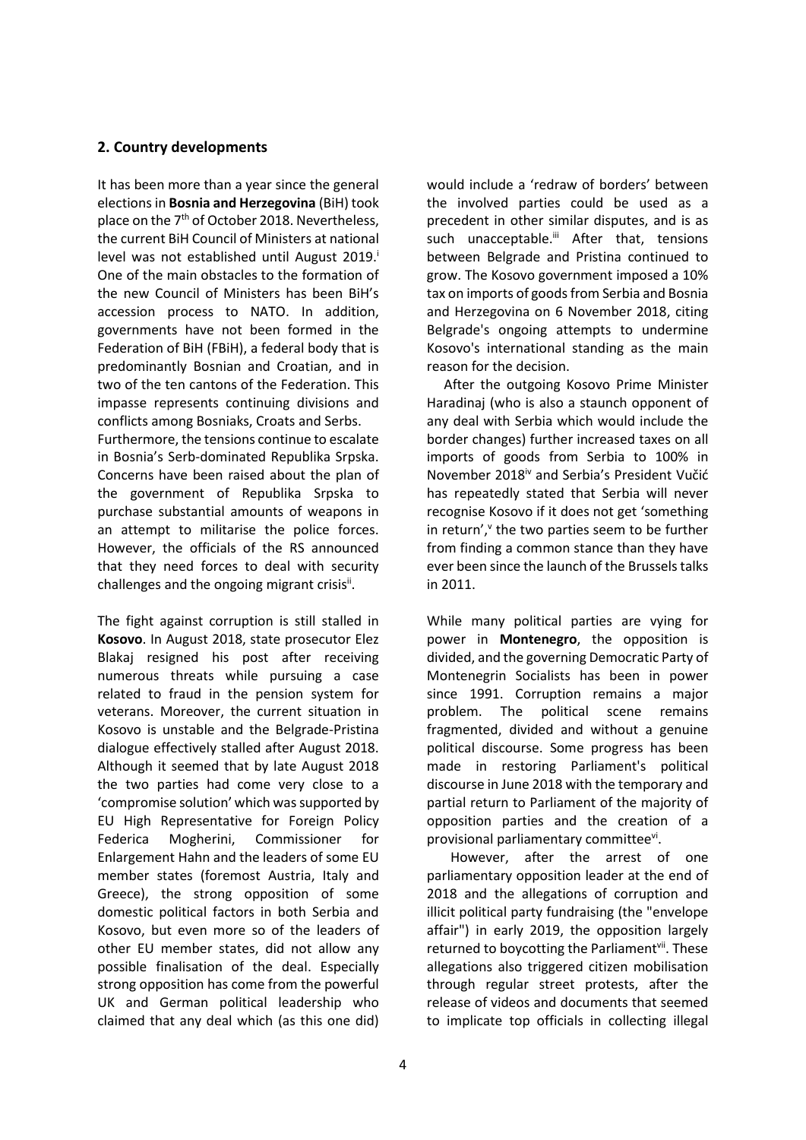#### **2. Country developments**

It has been more than a year since the general elections in **Bosnia and Herzegovina** (BiH) took place on the 7<sup>th</sup> of October 2018. Nevertheless, the current BiH Council of Ministers at national level was not established until August 2019. One of the main obstacles to the formation of the new Council of Ministers has been BiH's accession process to NATO. In addition, governments have not been formed in the Federation of BiH (FBiH), a federal body that is predominantly Bosnian and Croatian, and in two of the ten cantons of the Federation. This impasse represents continuing divisions and conflicts among Bosniaks, Croats and Serbs.

Furthermore, the tensions continue to escalate in Bosnia's Serb-dominated Republika Srpska. Concerns have been raised about the plan of the government of Republika Srpska to purchase substantial amounts of weapons in an attempt to militarise the police forces. However, the officials of the RS announced that they need forces to deal with security challenges and the ongoing migrant crisisi<sup>i</sup>.

The fight against corruption is still stalled in **Kosovo**. In August 2018, state prosecutor Elez Blakaj resigned his post after receiving numerous threats while pursuing a case related to fraud in the pension system for veterans. Moreover, the current situation in Kosovo is unstable and the Belgrade-Pristina dialogue effectively stalled after August 2018. Although it seemed that by late August 2018 the two parties had come very close to a 'compromise solution' which was supported by EU High Representative for Foreign Policy Federica Mogherini, Commissioner for Enlargement Hahn and the leaders of some EU member states (foremost Austria, Italy and Greece), the strong opposition of some domestic political factors in both Serbia and Kosovo, but even more so of the leaders of other EU member states, did not allow any possible finalisation of the deal. Especially strong opposition has come from the powerful UK and German political leadership who claimed that any deal which (as this one did) would include a 'redraw of borders' between the involved parties could be used as a precedent in other similar disputes, and is as such unacceptable.<sup>ii</sup> After that, tensions between Belgrade and Pristina continued to grow. The Kosovo government imposed a 10% tax on imports of goods from Serbia and Bosnia and Herzegovina on 6 November 2018, citing Belgrade's ongoing attempts to undermine Kosovo's international standing as the main reason for the decision.

 After the outgoing Kosovo Prime Minister Haradinaj (who is also a staunch opponent of any deal with Serbia which would include the border changes) further increased taxes on all imports of goods from Serbia to 100% in November 2018iv and Serbia's President Vučić has repeatedly stated that Serbia will never recognise Kosovo if it does not get 'something in return', the two parties seem to be further from finding a common stance than they have ever been since the launch of the Brussels talks in 2011.

While many political parties are vying for power in **Montenegro**, the opposition is divided, and the governing Democratic Party of Montenegrin Socialists has been in power since 1991. Corruption remains a major problem. The political scene remains fragmented, divided and without a genuine political discourse. Some progress has been made in restoring Parliament's political discourse in June 2018 with the temporary and partial return to Parliament of the majority of opposition parties and the creation of a provisional parliamentary committeevi.

 However, after the arrest of one parliamentary opposition leader at the end of 2018 and the allegations of corruption and illicit political party fundraising (the "envelope affair") in early 2019, the opposition largely returned to boycotting the Parliament<sup>vii</sup>. These allegations also triggered citizen mobilisation through regular street protests, after the release of videos and documents that seemed to implicate top officials in collecting illegal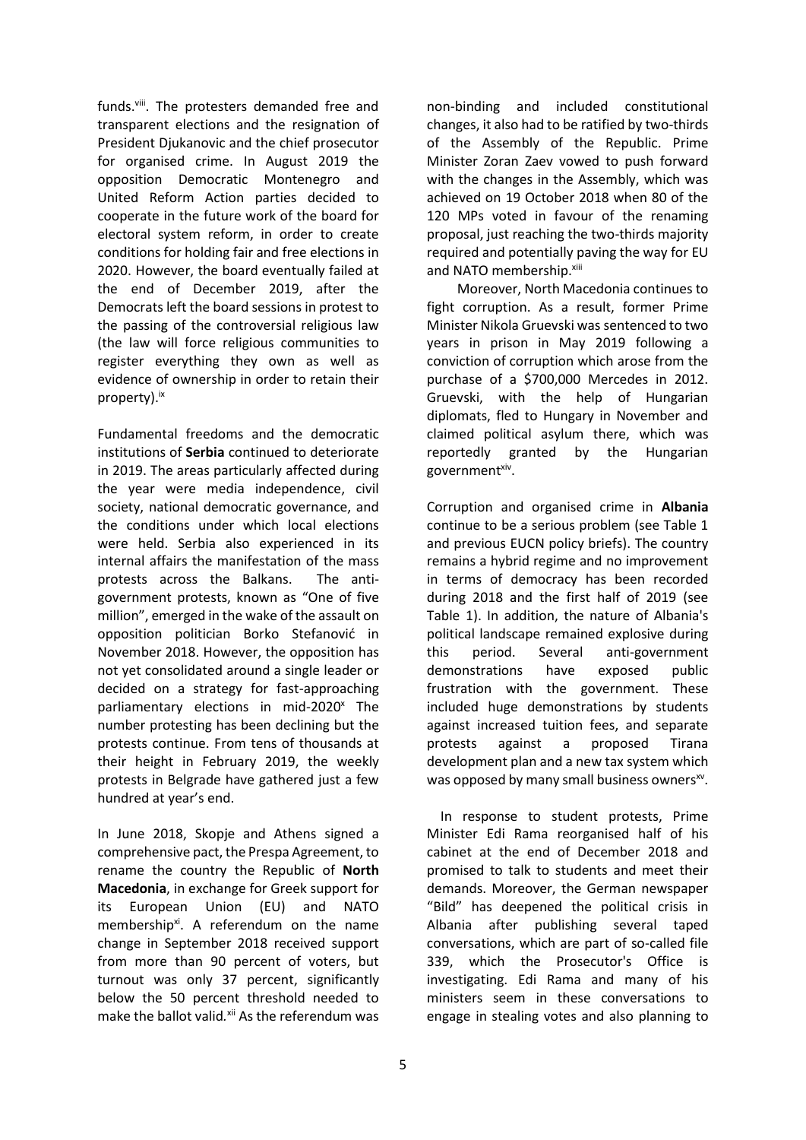funds.<sup>viii</sup>. The protesters demanded free and transparent elections and the resignation of President Djukanovic and the chief prosecutor for organised crime. In August 2019 the opposition Democratic Montenegro and United Reform Action parties decided to cooperate in the future work of the board for electoral system reform, in order to create conditions for holding fair and free elections in 2020. However, the board eventually failed at the end of December 2019, after the Democrats left the board sessions in protest to the passing of the controversial religious law (the law will force religious communities to register everything they own as well as evidence of ownership in order to retain their property).<sup>ix</sup>

Fundamental freedoms and the democratic institutions of **Serbia** continued to deteriorate in 2019. The areas particularly affected during the year were media independence, civil society, national democratic governance, and the conditions under which local elections were held. Serbia also experienced in its internal affairs the manifestation of the mass protests across the Balkans. The antigovernment protests, known as "One of five million", emerged in the wake of the assault on opposition politician Borko Stefanović in November 2018. However, the opposition has not yet consolidated around a single leader or decided on a strategy for fast-approaching parliamentary elections in mid-2020 $^{\text{x}}$  The number protesting has been declining but the protests continue. From tens of thousands at their height in February 2019, the weekly protests in Belgrade have gathered just a few hundred at year's end.

In June 2018, Skopje and Athens signed a comprehensive pact, the Prespa Agreement, to rename the country the Republic of **North Macedonia**, in exchange for Greek support for its European Union (EU) and NATO membership<sup>xi</sup>. A referendum on the name change in September 2018 received support from more than 90 percent of voters, but turnout was only 37 percent, significantly below the 50 percent threshold needed to make the ballot valid.<sup>xii</sup> As the referendum was non-binding and included constitutional changes, it also had to be ratified by two-thirds of the Assembly of the Republic. Prime Minister Zoran Zaev vowed to push forward with the changes in the Assembly, which was achieved on 19 October 2018 when 80 of the 120 MPs voted in favour of the renaming proposal, just reaching the two-thirds majority required and potentially paving the way for EU and NATO membership.<sup>xiii</sup>

 Moreover, North Macedonia continues to fight corruption. As a result, former Prime Minister Nikola Gruevski was sentenced to two years in prison in May 2019 following a conviction of corruption which arose from the purchase of a \$700,000 Mercedes in 2012. Gruevski, with the help of Hungarian diplomats, fled to Hungary in November and claimed political asylum there, which was reportedly granted by the Hungarian government<sup>xiv</sup>.

Corruption and organised crime in **Albania**  continue to be a serious problem (see Table 1 and previous EUCN policy briefs). The country remains a hybrid regime and no improvement in terms of democracy has been recorded during 2018 and the first half of 2019 (see Table 1). In addition, the nature of Albania's political landscape remained explosive during this period. Several anti-government demonstrations have exposed public frustration with the government. These included huge demonstrations by students against increased tuition fees, and separate protests against a proposed Tirana development plan and a new tax system which was opposed by many small business owners<sup>xv</sup>.

 In response to student protests, Prime Minister Edi Rama reorganised half of his cabinet at the end of December 2018 and promised to talk to students and meet their demands. Moreover, the German newspaper "Bild" has deepened the political crisis in Albania after publishing several taped conversations, which are part of so-called file 339, which the Prosecutor's Office is investigating. Edi Rama and many of his ministers seem in these conversations to engage in stealing votes and also planning to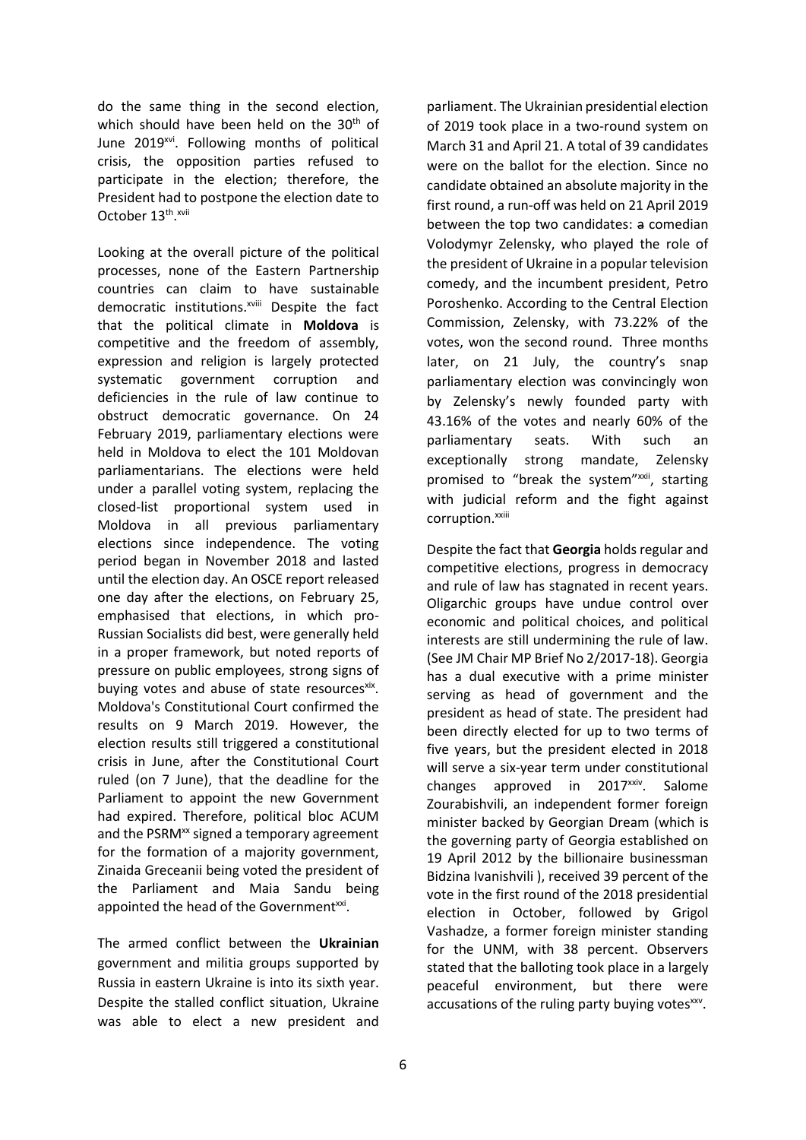do the same thing in the second election, which should have been held on the  $30<sup>th</sup>$  of June 2019<sup>xvi</sup>. Following months of political crisis, the opposition parties refused to participate in the election; therefore, the President had to postpone the election date to October 13<sup>th</sup>.xvii

Looking at the overall picture of the political processes, none of the Eastern Partnership countries can claim to have sustainable democratic institutions.<sup>xviii</sup> Despite the fact that the political climate in **Moldova** is competitive and the freedom of assembly, expression and religion is largely protected systematic government corruption and deficiencies in the rule of law continue to obstruct democratic governance. On 24 February 2019, parliamentary elections were held in Moldova to elect the 101 Moldovan parliamentarians. The elections were held under a parallel voting system, replacing the closed-list proportional system used in Moldova in all previous parliamentary elections since independence. The voting period began in November 2018 and lasted until the election day. An OSCE report released one day after the elections, on February 25, emphasised that elections, in which pro-Russian Socialists did best, were generally held in a proper framework, but noted reports of pressure on public employees, strong signs of buying votes and abuse of state resourcesxix. Moldova's Constitutional Court confirmed the results on 9 March 2019. However, the election results still triggered a constitutional crisis in June, after the Constitutional Court ruled (on 7 June), that the deadline for the Parliament to appoint the new Government had expired. Therefore, political bloc ACUM and the PSRM<sup>xx</sup> signed a temporary agreement for the formation of a majority government, Zinaida Greceanii being voted the president of the Parliament and Maia Sandu being appointed the head of the Government<sup>xxi</sup>.

The armed conflict between the **Ukrainian** government and militia groups supported by Russia in eastern Ukraine is into its sixth year. Despite the stalled conflict situation, Ukraine was able to elect a new president and parliament. The Ukrainian presidential election of 2019 took place in a two-round system on March 31 and April 21. A total of 39 candidates were on the ballot for the election. Since no candidate obtained an absolute majority in the first round, a run-off was held on 21 April 2019 between the top two candidates: a comedian Volodymyr Zelensky, who played the role of the president of Ukraine in a popular television comedy, and the incumbent president, Petro Poroshenko. According to the Central Election Commission, Zelensky, with 73.22% of the votes, won the second round. Three months later, on 21 July, the country's snap parliamentary election was convincingly won by Zelensky's newly founded party with 43.16% of the votes and nearly 60% of the parliamentary seats. With such an exceptionally strong mandate, Zelensky promised to "break the system"xxii, starting with judicial reform and the fight against corruption.<sup>xxiii</sup>

Despite the fact that **Georgia** holds regular and competitive elections, progress in democracy and rule of law has stagnated in recent years. Oligarchic groups have undue control over economic and political choices, and political interests are still undermining the rule of law. (See JM Chair MP Brief No 2/2017-18). Georgia has a dual executive with a prime minister serving as head of government and the president as head of state. The president had been directly elected for up to two terms of five years, but the president elected in 2018 will serve a six-year term under constitutional changes approved in 2017<sup>xxiv</sup>. Salome Zourabishvili, an independent former foreign minister backed by Georgian Dream (which is the governing party of Georgia established on 19 April 2012 by the billionaire businessman Bidzina Ivanishvili ), received 39 percent of the vote in the first round of the 2018 presidential election in October, followed by Grigol Vashadze, a former foreign minister standing for the UNM, with 38 percent. Observers stated that the balloting took place in a largely peaceful environment, but there were accusations of the ruling party buying votesxxv.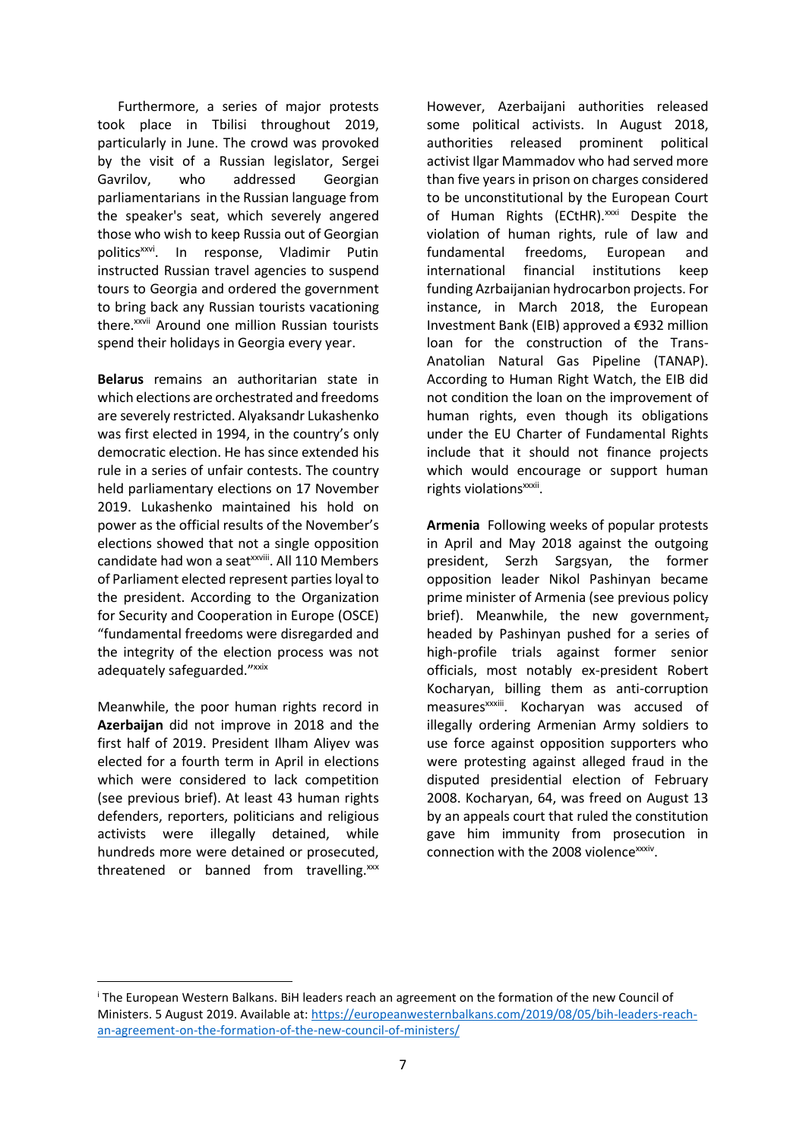Furthermore, a series of major protests took place in Tbilisi throughout 2019, particularly in June. The crowd was provoked by the visit of a Russian legislator, Sergei Gavrilov, who addressed Georgian parliamentarians in the Russian language from the speaker's seat, which severely angered those who wish to keep Russia out of Georgian politics<sup>xxvi</sup>. In response, Vladimir Putin instructed Russian travel agencies to suspend tours to Georgia and ordered the government to bring back any Russian tourists vacationing there.<sup>xxvii</sup> Around one million Russian tourists spend their holidays in Georgia every year.

**Belarus** remains an authoritarian state in which elections are orchestrated and freedoms are severely restricted. Alyaksandr Lukashenko was first elected in 1994, in the country's only democratic election. He has since extended his rule in a series of unfair contests. The country held parliamentary elections on 17 November 2019. Lukashenko maintained his hold on power as the official results of the November's elections showed that not a single opposition candidate had won a seat<sup>xxviii</sup>. All 110 Members of Parliament elected represent parties loyal to the president. According to the Organization for Security and Cooperation in Europe (OSCE) "fundamental freedoms were disregarded and the integrity of the election process was not adequately safeguarded."xxix

Meanwhile, the poor human rights record in **Azerbaijan** did not improve in 2018 and the first half of 2019. President Ilham Aliyev was elected for a fourth term in April in elections which were considered to lack competition (see previous brief). At least 43 human rights defenders, reporters, politicians and religious activists were illegally detained, while hundreds more were detained or prosecuted, threatened or banned from travelling.<sup>xxx</sup>

**.** 

However, Azerbaijani authorities released some political activists. In August 2018, authorities released prominent political activist Ilgar Mammadov who had served more than five years in prison on charges considered to be unconstitutional by the European Court of Human Rights (ECtHR).<sup>xxxi</sup> Despite the violation of human rights, rule of law and fundamental freedoms, European and international financial institutions keep funding Azrbaijanian hydrocarbon projects. For instance, in March 2018, the European Investment Bank (EIB) approved a €932 million loan for the construction of the Trans-Anatolian Natural Gas Pipeline (TANAP). According to Human Right Watch, the EIB did not condition the loan on the improvement of human rights, even though its obligations under the EU Charter of Fundamental Rights include that it should not finance projects which would encourage or support human rights violations<sup>xxxii</sup>.

**Armenia** Following weeks of popular protests in April and May 2018 against the outgoing president, Serzh Sargsyan, the former opposition leader Nikol Pashinyan became prime minister of Armenia (see previous policy brief). Meanwhile, the new government, headed by Pashinyan pushed for a series of high-profile trials against former senior officials, most notably ex-president Robert Kocharyan, billing them as anti-corruption measures<sup>xxxiii</sup>. Kocharyan was accused of illegally ordering Armenian Army soldiers to use force against opposition supporters who were protesting against alleged fraud in the disputed presidential election of February 2008. Kocharyan, 64, was freed on August 13 by an appeals court that ruled the constitution gave him immunity from prosecution in connection with the 2008 violence<sup>xxxiv</sup>.

<sup>&</sup>lt;sup>i</sup> The European Western Balkans. BiH leaders reach an agreement on the formation of the new Council of Ministers. 5 August 2019. Available at: [https://europeanwesternbalkans.com/2019/08/05/bih-leaders-reach](https://europeanwesternbalkans.com/2019/08/05/bih-leaders-reach-an-agreement-on-the-formation-of-the-new-council-of-ministers/)[an-agreement-on-the-formation-of-the-new-council-of-ministers/](https://europeanwesternbalkans.com/2019/08/05/bih-leaders-reach-an-agreement-on-the-formation-of-the-new-council-of-ministers/)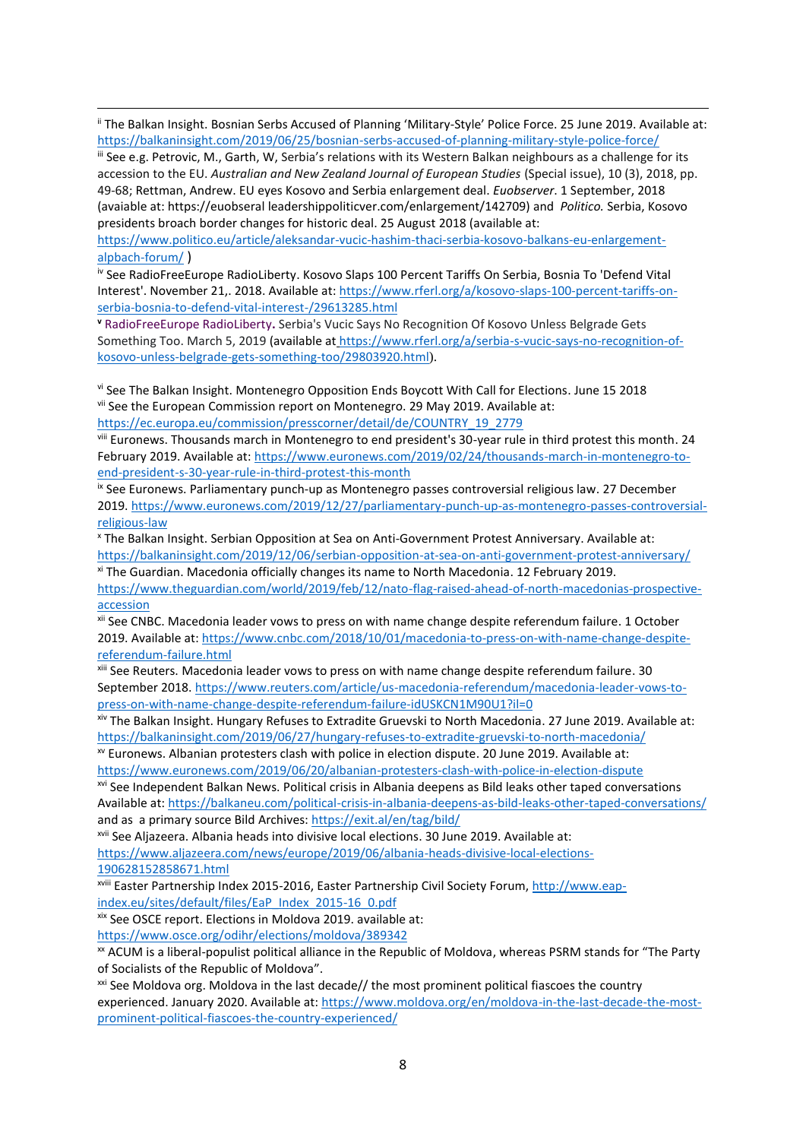ii The Balkan Insight. Bosnian Serbs Accused of Planning 'Military-Style' Police Force. 25 June 2019. Available at: <https://balkaninsight.com/2019/06/25/bosnian-serbs-accused-of-planning-military-style-police-force/>

**.** 

iii See e.g. Petrovic, M., Garth, W, Serbia's relations with its Western Balkan neighbours as a challenge for its accession to the EU. *Australian and New Zealand Journal of European Studies* (Special issue), 10 (3), 2018, pp. 49-68; Rettman, Andrew. EU eyes Kosovo and Serbia enlargement deal. *Euobserver*. 1 September, 2018 (avaiable at: https://euobseral leadershippoliticver.com/enlargement/142709) and *Politico.* Serbia, Kosovo presidents broach border changes for historic deal. 25 August 2018 (available at:

[https://www.politico.eu/article/aleksandar-vucic-hashim-thaci-serbia-kosovo-balkans-eu-enlargement](https://www.politico.eu/article/aleksandar-vucic-hashim-thaci-serbia-kosovo-balkans-eu-enlargement-alpbach-forum/)[alpbach-forum/](https://www.politico.eu/article/aleksandar-vucic-hashim-thaci-serbia-kosovo-balkans-eu-enlargement-alpbach-forum/) )

iv See RadioFreeEurope RadioLiberty. Kosovo Slaps 100 Percent Tariffs On Serbia, Bosnia To 'Defend Vital Interest'. November 21,. 2018. Available at: [https://www.rferl.org/a/kosovo-slaps-100-percent-tariffs-on](https://www.rferl.org/a/kosovo-slaps-100-percent-tariffs-on-serbia-bosnia-to-defend-vital-interest-/29613285.html)[serbia-bosnia-to-defend-vital-interest-/29613285.html](https://www.rferl.org/a/kosovo-slaps-100-percent-tariffs-on-serbia-bosnia-to-defend-vital-interest-/29613285.html)

**<sup>v</sup>** RadioFreeEurope RadioLiberty**.** Serbia's Vucic Says No Recognition Of Kosovo Unless Belgrade Gets Something Too. March 5, 2019 (available at [https://www.rferl.org/a/serbia-s-vucic-says-no-recognition-of](https://www.rferl.org/a/serbia-s-vucic-says-no-recognition-of-kosovo-unless-belgrade-gets-something-too/29803920.html)[kosovo-unless-belgrade-gets-something-too/29803920.html](https://www.rferl.org/a/serbia-s-vucic-says-no-recognition-of-kosovo-unless-belgrade-gets-something-too/29803920.html)).

vi See The Balkan Insight. Montenegro Opposition Ends Boycott With Call for Elections. June 15 2018 vii See the European Commission report on Montenegro. 29 May 2019. Available at: [https://ec.europa.eu/commission/presscorner/detail/de/COUNTRY\\_19\\_2779](https://ec.europa.eu/commission/presscorner/detail/de/COUNTRY_19_2779)

viii Euronews. Thousands march in Montenegro to end president's 30-year rule in third protest this month. 24 February 2019. Available at: [https://www.euronews.com/2019/02/24/thousands-march-in-montenegro-to](https://www.euronews.com/2019/02/24/thousands-march-in-montenegro-to-end-president-s-30-year-rule-in-third-protest-this-month)[end-president-s-30-year-rule-in-third-protest-this-month](https://www.euronews.com/2019/02/24/thousands-march-in-montenegro-to-end-president-s-30-year-rule-in-third-protest-this-month)

ix See Euronews. Parliamentary punch-up as Montenegro passes controversial religious law. 27 December 2019. [https://www.euronews.com/2019/12/27/parliamentary-punch-up-as-montenegro-passes-controversial](https://www.euronews.com/2019/12/27/parliamentary-punch-up-as-montenegro-passes-controversial-religious-law)[religious-law](https://www.euronews.com/2019/12/27/parliamentary-punch-up-as-montenegro-passes-controversial-religious-law)

<sup>x</sup> The Balkan Insight. Serbian Opposition at Sea on Anti-Government Protest Anniversary. Available at: <https://balkaninsight.com/2019/12/06/serbian-opposition-at-sea-on-anti-government-protest-anniversary/> xi The Guardian. Macedonia officially changes its name to North Macedonia. 12 February 2019.

[https://www.theguardian.com/world/2019/feb/12/nato-flag-raised-ahead-of-north-macedonias-prospective](https://www.theguardian.com/world/2019/feb/12/nato-flag-raised-ahead-of-north-macedonias-prospective-accession)[accession](https://www.theguardian.com/world/2019/feb/12/nato-flag-raised-ahead-of-north-macedonias-prospective-accession)

xii See CNBC. Macedonia leader vows to press on with name change despite referendum failure. 1 October 2019. Available at: [https://www.cnbc.com/2018/10/01/macedonia-to-press-on-with-name-change-despite](https://www.cnbc.com/2018/10/01/macedonia-to-press-on-with-name-change-despite-referendum-failure.html)[referendum-failure.html](https://www.cnbc.com/2018/10/01/macedonia-to-press-on-with-name-change-despite-referendum-failure.html)

xiii See Reuters. Macedonia leader vows to press on with name change despite referendum failure. 30 September 2018. [https://www.reuters.com/article/us-macedonia-referendum/macedonia-leader-vows-to](https://www.reuters.com/article/us-macedonia-referendum/macedonia-leader-vows-to-press-on-with-name-change-despite-referendum-failure-idUSKCN1M90U1?il=0)[press-on-with-name-change-despite-referendum-failure-idUSKCN1M90U1?il=0](https://www.reuters.com/article/us-macedonia-referendum/macedonia-leader-vows-to-press-on-with-name-change-despite-referendum-failure-idUSKCN1M90U1?il=0)

xiv The Balkan Insight. Hungary Refuses to Extradite Gruevski to North Macedonia. 27 June 2019. Available at: <https://balkaninsight.com/2019/06/27/hungary-refuses-to-extradite-gruevski-to-north-macedonia/>

xv Euronews. Albanian protesters clash with police in election dispute. 20 June 2019. Available at: <https://www.euronews.com/2019/06/20/albanian-protesters-clash-with-police-in-election-dispute>

xvi See Independent Balkan News. Political crisis in Albania deepens as Bild leaks other taped conversations Available at:<https://balkaneu.com/political-crisis-in-albania-deepens-as-bild-leaks-other-taped-conversations/> and as a primary source Bild Archives:<https://exit.al/en/tag/bild/>

xvii See Aljazeera. Albania heads into divisive local elections. 30 June 2019. Available at:

[https://www.aljazeera.com/news/europe/2019/06/albania-heads-divisive-local-elections-](https://www.aljazeera.com/news/europe/2019/06/albania-heads-divisive-local-elections-190628152858671.html)[190628152858671.html](https://www.aljazeera.com/news/europe/2019/06/albania-heads-divisive-local-elections-190628152858671.html)

xviii Easter Partnership Index 2015-2016, Easter Partnership Civil Society Forum, [http://www.eap](http://www.eap-index.eu/sites/default/files/EaP_Index_2015-16_0.pdf)[index.eu/sites/default/files/EaP\\_Index\\_2015-16\\_0.pdf](http://www.eap-index.eu/sites/default/files/EaP_Index_2015-16_0.pdf)

xix See OSCE report. Elections in Moldova 2019. available at:

<https://www.osce.org/odihr/elections/moldova/389342>

xx ACUM is a liberal-populist political alliance in the Republic of Moldova, whereas PSRM stands for "The Party of Socialists of the Republic of Moldova".

<sup>xxi</sup> See Moldova org. Moldova in the last decade// the most prominent political fiascoes the country experienced. January 2020. Available at[: https://www.moldova.org/en/moldova-in-the-last-decade-the-most](https://www.moldova.org/en/moldova-in-the-last-decade-the-most-prominent-political-fiascoes-the-country-experienced/)[prominent-political-fiascoes-the-country-experienced/](https://www.moldova.org/en/moldova-in-the-last-decade-the-most-prominent-political-fiascoes-the-country-experienced/)